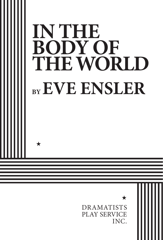# **IN THE BODY OF THE WORLD** BY EVE ENSLER

 $\bigstar$ 

DRAMATISTS PLAY SERVICE INC.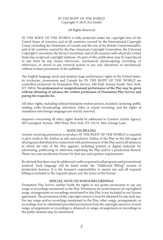### IN THE BODY OF THE WORLD Copyright © 2019, Eve Ensler

#### All Rights Reserved

IN THE BODY OF THE WORLD is fully protected under the copyright laws of the United States of America, and of all countries covered by the International Copyright Union (including the Dominion of Canada and the rest of the British Commonwealth), and of all countries covered by the Pan-American Copyright Convention, the Universal Copyright Convention, the Berne Convention, and of all countries with which the United States has reciprocal copyright relations. No part of this publication may be reproduced in any form by any means (electronic, mechanical, photocopying, recording, or otherwise), or stored in any retrieval system in any way (electronic or mechanical) without written permission of the publisher.

The English language stock and amateur stage performance rights in the United States, its territories, possessions and Canada for IN THE BODY OF THE WORLD are controlled exclusively by Dramatists Play Service, 440 Park Avenue South, New York, NY 10016. **No professional or nonprofessional performance of the Play may be given without obtaining in advance the written permission of Dramatists Play Service and paying the requisite fee.**

All other rights, including without limitation motion picture, recitation, lecturing, public reading, radio broadcasting, television, video or sound recording, and the rights of translation into foreign languages are strictly reserved.

Inquiries concerning all other rights should be addressed to Creative Artists Agency, 405 Lexington Avenue, 19th Floor, New York, NY 10174. Attn: George Lane.

### **NOTE ON BILLING**

Anyone receiving permission to produce IN THE BODY OF THE WORLD is required to give credit to the Author as sole and exclusive Author of the Play on the title page of all programs distributed in connection with performances of the Play and in all instances in which the title of the Play appears, including printed or digital materials for advertising, publicizing or otherwise exploiting the Play and/or a production thereof. Please see your production license for font size and typeface requirements.

Be advised that there may be additional credits required in all programs and promotional material. Such language will be listed under the "Additional Billing" section of production licenses. It is the licensee's responsibility to ensure any and all required billing is included in the requisite places, per the terms of the license.

### **SPECIAL NOTE ON SONGS/RECORDINGS**

Dramatists Play Service neither holds the rights to nor grants permission to use any songs or recordings mentioned in the Play. Permission for performances of copyrighted songs, arrangements or recordings mentioned in this Play is not included in our license agreement. The permission of the copyright owner(s) must be obtained for any such use. For any songs and/or recordings mentioned in the Play, other songs, arrangements, or recordings may be substituted provided permission from the copyright owner(s) of such songs, arrangements or recordings is obtained; or songs, arrangements or recordings in the public domain may be substituted.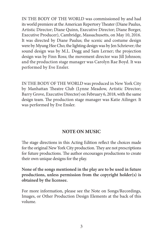IN THE BODY OF THE WORLD was commissioned by and had its world premiere at the American Repertory Theater (Diane Paulus, Artistic Director; Diane Quinn, Executive Director; Diane Borger, Executive Producer), Cambridge, Massachusetts, on May 10, 2016. It was directed by Diane Paulus; the scenic and costume design were by Myung Hee Cho; the lighting design was by Jen Schriever; the sound design was by M.L. Dogg and Sam Lerner; the projection design was by Finn Ross; the movement director was Jill Johnson; and the production stage manager was Carolyn Rae Boyd. It was performed by Eve Ensler.

IN THE BODY OF THE WORLD was produced in New York City by Manhattan Theatre Club (Lynne Meadow, Artistic Director; Barry Grove, Executive Director) on February 6, 2018, with the same design team. The production stage manager was Katie Ailinger. It was performed by Eve Ensler.

# **NOTE ON MUSIC**

The stage directions in this Acting Edition reflect the choices made for the original New York City production. They are not prescriptions for future productions. The author encourages productions to create their own unique designs for the play.

**None of the songs mentioned in the play are to be used in future productions, unless permission from the copyright holder(s) is obtained by the licensee.**

For more information, please see the Note on Songs/Recordings, Images, or Other Production Design Elements at the back of this volume.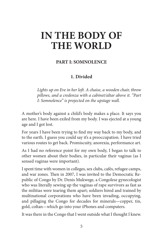# **IN THE BODY OF THE WORLD**

## **PART I: SOMNOLENCE**

# **1. Divided**

*Lights up on Eve in her loft. A chaise, a wooden chair, throw pillows, and a credenza with a cabinet/altar above it. "Part I: Somnolence" is projected on the upstage wall.*

A mother's body against a child's body makes a place. It says you are here. I have been exiled from my body. I was ejected at a young age and I got lost.

For years I have been trying to find my way back to my body, and to the earth. I guess you could say it's a preoccupation. I have tried various routes to get back. Promiscuity, anorexia, performance art.

As I had no reference point for my own body, I began to talk to other women about their bodies, in particular their vaginas (as I sensed vaginas were important).

I spent time with women in colleges, sex clubs, cafés, refugee camps, and war zones. Then in 2007, I was invited to the Democratic Republic of Congo by Dr. Denis Mukwege, a Congolese gynecologist who was literally sewing up the vaginas of rape survivors as fast as the militias were tearing them apart; soldiers hired and trained by multinational corporations who have been invading, occupying, and pillaging the Congo for decades for minerals—copper, tin, gold, coltan—which go into your iPhones and computers.

It was there in the Congo that I went outside what I thought I knew.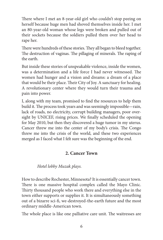There where I met an 8-year-old girl who couldn't stop peeing on herself because huge men had shoved themselves inside her. I met an 80-year-old woman whose legs were broken and pulled out of their sockets because the soldiers pulled them over her head to rape her.

There were hundreds of these stories. They all began to bleed together. The destruction of vaginas. The pillaging of minerals. The raping of the earth.

But inside these stories of unspeakable violence, inside the women, was a determination and a life force I had never witnessed. The women had hunger and a vision and dreams: a dream of a place that would be their place. Their City of Joy. A sanctuary for healing. A revolutionary center where they would turn their trauma and pain into power.

I, along with my team, promised to find the resources to help them build it. The process took years and was seemingly impossible—rain, lack of roads, no electricity, corrupt building managers, poor oversight by UNICEF, rising prices. We finally scheduled the opening for May 2010, but then they discovered a huge tumor in my uterus. Cancer threw me into the center of my body's crisis. The Congo threw me into the crisis of the world, and these two experiences merged as I faced what I felt sure was the beginning of the end.

## **2. Cancer Town**

*Hotel lobby Muzak plays.*

How to describe Rochester, Minnesota? It is essentially cancer town. There is one massive hospital complex called the Mayo Clinic. Thirty thousand people who work there and everything else in the town either supports or supplies it. It is simultaneously something out of a bizarre sci-fi, we-destroyed-the-earth future and the most ordinary middle-American town.

The whole place is like one palliative care unit. The waitresses are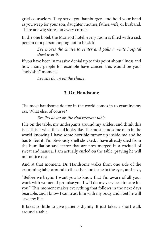grief counselors. They serve you hamburgers and hold your hand as you weep for your son, daughter, mother, father, wife, or husband. There are wig stores on every corner.

In the one hotel, the Marriott hotel, every room is filled with a sick person or a person hoping not to be sick.

> *Eve moves the chaise to center and pulls a white hospital sheet over it.*

If you have been in massive denial up to this point about illness and how many people for example have cancer, this would be your "holy shit" moment.

*Eve sits down on the chaise.*

# **3. Dr. Handsome**

The most handsome doctor in the world comes in to examine my ass. What else, of course?

*Eve lies down on the chaise/exam table.*

I lie on the table, my underpants around my ankles, and think this is it. This is what the end looks like. The most handsome man in the world knowing I have some horrible tumor up inside me and he has to feel it. I'm obviously shell shocked. I have already died from the humiliation and terror that are now merged in a cocktail of sweat and nausea. I am actually curled on the table, praying he will not notice me.

And at that moment, Dr. Handsome walks from one side of the examining table around to the other, looks me in the eyes, and says,

"Before we begin, I want you to know that I'm aware of all your work with women. I promise you I will do my very best to care for you." This moment makes everything that follows in the next days bearable, and I know I can trust him with my body and I bet he will save my life.

It takes so little to give patients dignity. It just takes a short walk around a table.